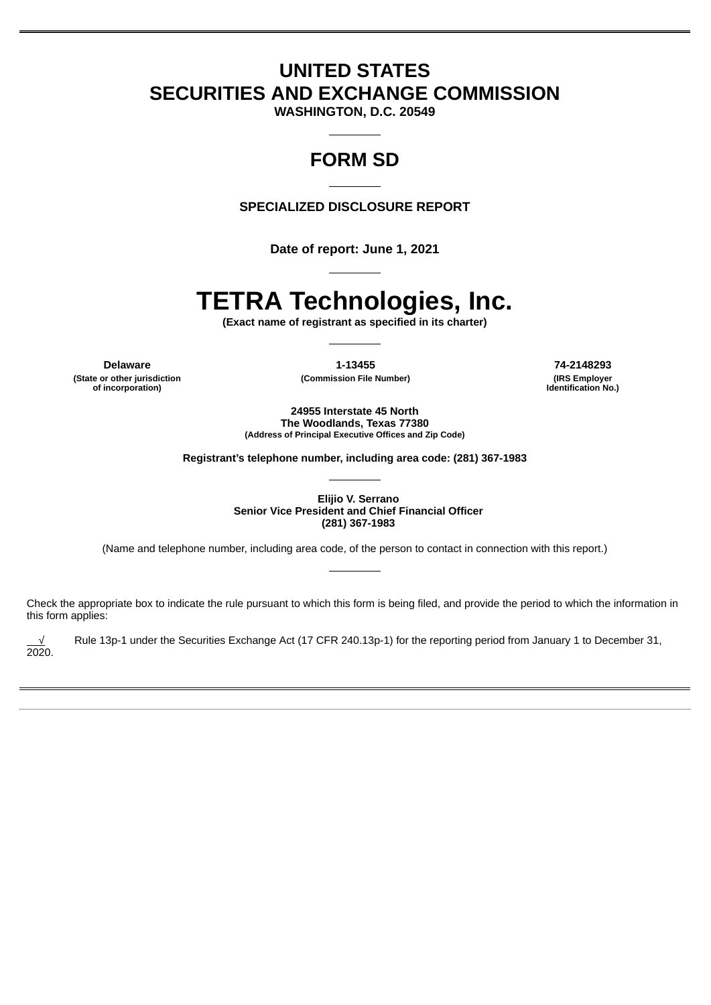## **UNITED STATES SECURITIES AND EXCHANGE COMMISSION**

**WASHINGTON, D.C. 20549**

## **FORM SD**

**SPECIALIZED DISCLOSURE REPORT**

**Date of report: June 1, 2021**

# **TETRA Technologies, Inc.**

**(Exact name of registrant as specified in its charter)**

**(State or other jurisdiction of incorporation)**

**Delaware 1-13455 74-2148293**

**(Commission File Number) (IRS Employer Identification No.)**

**24955 Interstate 45 North The Woodlands, Texas 77380 (Address of Principal Executive Offices and Zip Code)**

**Registrant's telephone number, including area code: (281) 367-1983**

**Elijio V. Serrano Senior Vice President and Chief Financial Officer (281) 367-1983**

(Name and telephone number, including area code, of the person to contact in connection with this report.)

Check the appropriate box to indicate the rule pursuant to which this form is being filed, and provide the period to which the information in this form applies:

Rule 13p-1 under the Securities Exchange Act (17 CFR 240.13p-1) for the reporting period from January 1 to December 31, 2020.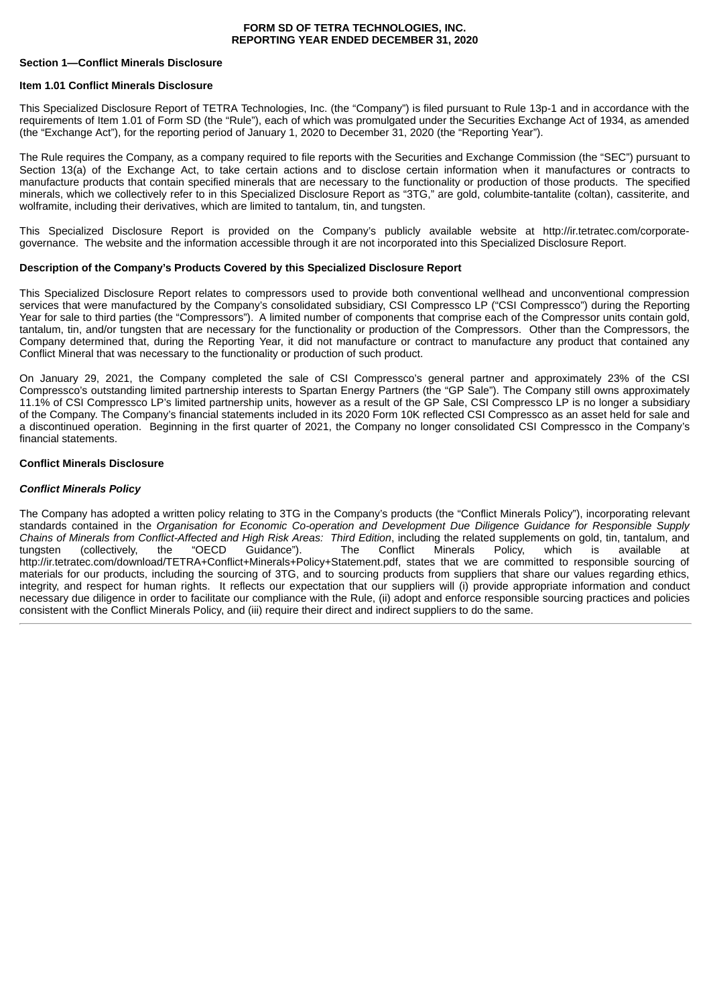#### **FORM SD OF TETRA TECHNOLOGIES, INC. REPORTING YEAR ENDED DECEMBER 31, 2020**

#### **Section 1—Conflict Minerals Disclosure**

#### **Item 1.01 Conflict Minerals Disclosure**

This Specialized Disclosure Report of TETRA Technologies, Inc. (the "Company") is filed pursuant to Rule 13p-1 and in accordance with the requirements of Item 1.01 of Form SD (the "Rule"), each of which was promulgated under the Securities Exchange Act of 1934, as amended (the "Exchange Act"), for the reporting period of January 1, 2020 to December 31, 2020 (the "Reporting Year").

The Rule requires the Company, as a company required to file reports with the Securities and Exchange Commission (the "SEC") pursuant to Section 13(a) of the Exchange Act, to take certain actions and to disclose certain information when it manufactures or contracts to manufacture products that contain specified minerals that are necessary to the functionality or production of those products. The specified minerals, which we collectively refer to in this Specialized Disclosure Report as "3TG," are gold, columbite-tantalite (coltan), cassiterite, and wolframite, including their derivatives, which are limited to tantalum, tin, and tungsten.

This Specialized Disclosure Report is provided on the Company's publicly available website at http://ir.tetratec.com/corporategovernance. The website and the information accessible through it are not incorporated into this Specialized Disclosure Report.

#### **Description of the Company's Products Covered by this Specialized Disclosure Report**

This Specialized Disclosure Report relates to compressors used to provide both conventional wellhead and unconventional compression services that were manufactured by the Company's consolidated subsidiary, CSI Compressco LP ("CSI Compressco") during the Reporting Year for sale to third parties (the "Compressors"). A limited number of components that comprise each of the Compressor units contain gold, tantalum, tin, and/or tungsten that are necessary for the functionality or production of the Compressors. Other than the Compressors, the Company determined that, during the Reporting Year, it did not manufacture or contract to manufacture any product that contained any Conflict Mineral that was necessary to the functionality or production of such product.

On January 29, 2021, the Company completed the sale of CSI Compressco's general partner and approximately 23% of the CSI Compressco's outstanding limited partnership interests to Spartan Energy Partners (the "GP Sale"). The Company still owns approximately 11.1% of CSI Compressco LP's limited partnership units, however as a result of the GP Sale, CSI Compressco LP is no longer a subsidiary of the Company. The Company's financial statements included in its 2020 Form 10K reflected CSI Compressco as an asset held for sale and a discontinued operation. Beginning in the first quarter of 2021, the Company no longer consolidated CSI Compressco in the Company's financial statements.

#### **Conflict Minerals Disclosure**

#### *Conflict Minerals Policy*

The Company has adopted a written policy relating to 3TG in the Company's products (the "Conflict Minerals Policy"), incorporating relevant standards contained in the *Organisation for Economic Co-operation and Development Due Diligence Guidance for Responsible Supply Chains of Minerals from Conflict-Affected and High Risk Areas: Third Edition*, including the related supplements on gold, tin, tantalum, and tungsten (collectively, the "OECD Guidance"). The Conflict Minerals Policy, which is available at http://ir.tetratec.com/download/TETRA+Conflict+Minerals+Policy+Statement.pdf, states that we are committed to responsible sourcing of materials for our products, including the sourcing of 3TG, and to sourcing products from suppliers that share our values regarding ethics, integrity, and respect for human rights. It reflects our expectation that our suppliers will (i) provide appropriate information and conduct necessary due diligence in order to facilitate our compliance with the Rule, (ii) adopt and enforce responsible sourcing practices and policies consistent with the Conflict Minerals Policy, and (iii) require their direct and indirect suppliers to do the same.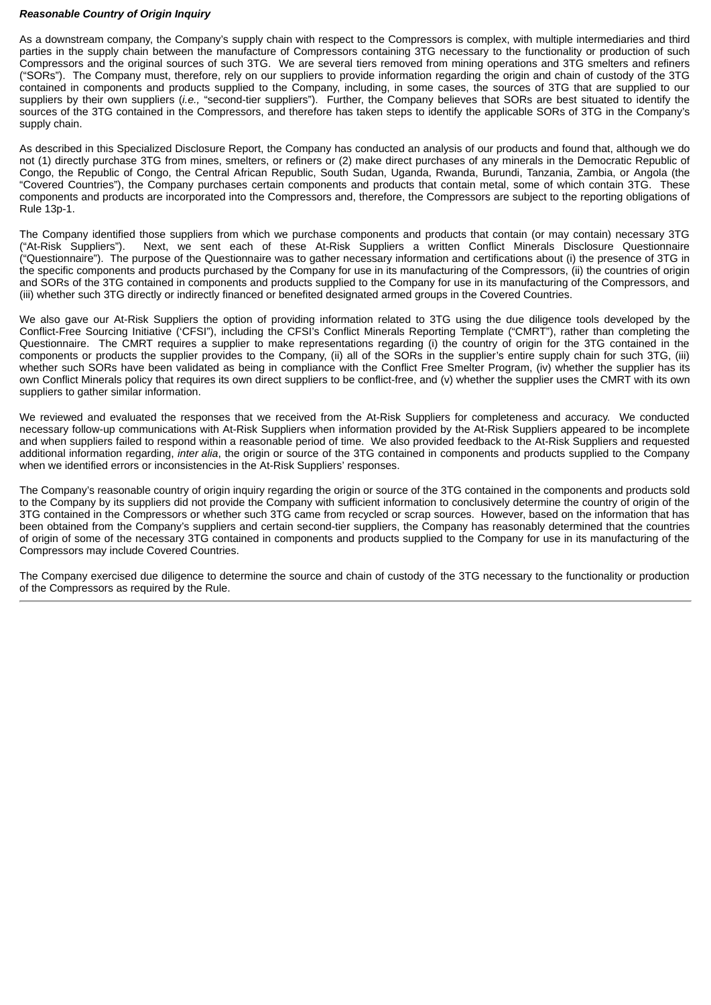#### *Reasonable Country of Origin Inquiry*

As a downstream company, the Company's supply chain with respect to the Compressors is complex, with multiple intermediaries and third parties in the supply chain between the manufacture of Compressors containing 3TG necessary to the functionality or production of such Compressors and the original sources of such 3TG. We are several tiers removed from mining operations and 3TG smelters and refiners ("SORs"). The Company must, therefore, rely on our suppliers to provide information regarding the origin and chain of custody of the 3TG contained in components and products supplied to the Company, including, in some cases, the sources of 3TG that are supplied to our suppliers by their own suppliers (*i.e.,* "second-tier suppliers"). Further, the Company believes that SORs are best situated to identify the sources of the 3TG contained in the Compressors, and therefore has taken steps to identify the applicable SORs of 3TG in the Company's supply chain.

As described in this Specialized Disclosure Report, the Company has conducted an analysis of our products and found that, although we do not (1) directly purchase 3TG from mines, smelters, or refiners or (2) make direct purchases of any minerals in the Democratic Republic of Congo, the Republic of Congo, the Central African Republic, South Sudan, Uganda, Rwanda, Burundi, Tanzania, Zambia, or Angola (the "Covered Countries"), the Company purchases certain components and products that contain metal, some of which contain 3TG. These components and products are incorporated into the Compressors and, therefore, the Compressors are subject to the reporting obligations of Rule 13p-1.

The Company identified those suppliers from which we purchase components and products that contain (or may contain) necessary 3TG ("At-Risk Suppliers"). Next, we sent each of these At-Risk Suppliers a written Conflict Minerals Disclosure Questionnaire ("Questionnaire"). The purpose of the Questionnaire was to gather necessary information and certifications about (i) the presence of 3TG in the specific components and products purchased by the Company for use in its manufacturing of the Compressors, (ii) the countries of origin and SORs of the 3TG contained in components and products supplied to the Company for use in its manufacturing of the Compressors, and (iii) whether such 3TG directly or indirectly financed or benefited designated armed groups in the Covered Countries.

We also gave our At-Risk Suppliers the option of providing information related to 3TG using the due diligence tools developed by the Conflict-Free Sourcing Initiative ('CFSI"), including the CFSI's Conflict Minerals Reporting Template ("CMRT"), rather than completing the Questionnaire. The CMRT requires a supplier to make representations regarding (i) the country of origin for the 3TG contained in the components or products the supplier provides to the Company, (ii) all of the SORs in the supplier's entire supply chain for such 3TG, (iii) whether such SORs have been validated as being in compliance with the Conflict Free Smelter Program, (iv) whether the supplier has its own Conflict Minerals policy that requires its own direct suppliers to be conflict-free, and (v) whether the supplier uses the CMRT with its own suppliers to gather similar information.

We reviewed and evaluated the responses that we received from the At-Risk Suppliers for completeness and accuracy. We conducted necessary follow-up communications with At-Risk Suppliers when information provided by the At-Risk Suppliers appeared to be incomplete and when suppliers failed to respond within a reasonable period of time. We also provided feedback to the At-Risk Suppliers and requested additional information regarding, *inter alia*, the origin or source of the 3TG contained in components and products supplied to the Company when we identified errors or inconsistencies in the At-Risk Suppliers' responses.

The Company's reasonable country of origin inquiry regarding the origin or source of the 3TG contained in the components and products sold to the Company by its suppliers did not provide the Company with sufficient information to conclusively determine the country of origin of the 3TG contained in the Compressors or whether such 3TG came from recycled or scrap sources. However, based on the information that has been obtained from the Company's suppliers and certain second-tier suppliers, the Company has reasonably determined that the countries of origin of some of the necessary 3TG contained in components and products supplied to the Company for use in its manufacturing of the Compressors may include Covered Countries.

The Company exercised due diligence to determine the source and chain of custody of the 3TG necessary to the functionality or production of the Compressors as required by the Rule.